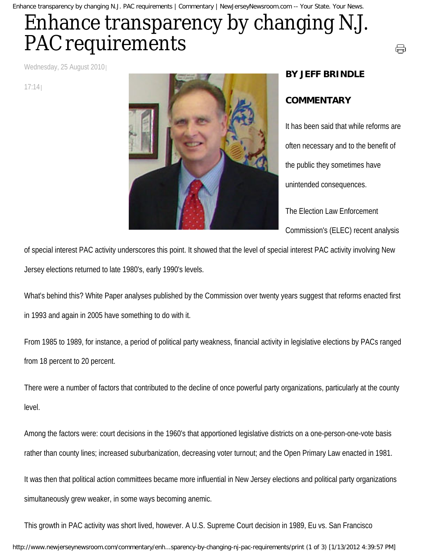Enhance transparency by changing N.J. PAC requirements | Commentary | NewJerseyNewsroom.com -- Your State. Your News.

## Enhance transparency by changing N.J. PAC requirements

Wednesday, 25 August 2010

17:14



## **BY JEFF BRINDLE**

## **COMMENTARY**

It has been said that while reforms are often necessary and to the benefit of the public they sometimes have unintended consequences. The Election Law Enforcement

⊖

Commission's (ELEC) recent analysis

of special interest PAC activity underscores this point. It showed that the level of special interest PAC activity involving New Jersey elections returned to late 1980's, early 1990's levels.

What's behind this? White Paper analyses published by the Commission over twenty years suggest that reforms enacted first in 1993 and again in 2005 have something to do with it.

From 1985 to 1989, for instance, a period of political party weakness, financial activity in legislative elections by PACs ranged from 18 percent to 20 percent.

There were a number of factors that contributed to the decline of once powerful party organizations, particularly at the county level.

Among the factors were: court decisions in the 1960's that apportioned legislative districts on a one-person-one-vote basis rather than county lines; increased suburbanization, decreasing voter turnout; and the Open Primary Law enacted in 1981.

It was then that political action committees became more influential in New Jersey elections and political party organizations simultaneously grew weaker, in some ways becoming anemic.

This growth in PAC activity was short lived, however. A U.S. Supreme Court decision in 1989, Eu vs. San Francisco http://www.newjerseynewsroom.com/commentary/enh...sparency-by-changing-nj-pac-requirements/print (1 of 3) [1/13/2012 4:39:57 PM]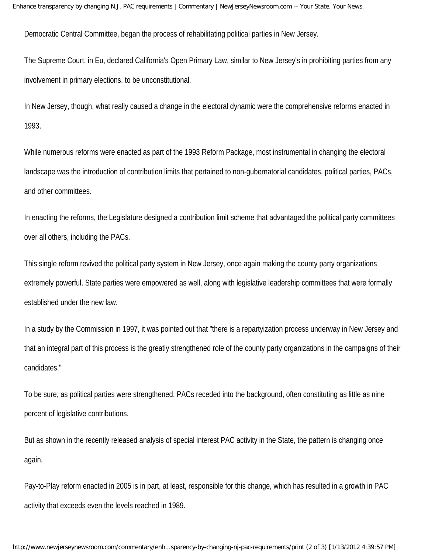Democratic Central Committee, began the process of rehabilitating political parties in New Jersey.

The Supreme Court, in Eu, declared California's Open Primary Law, similar to New Jersey's in prohibiting parties from any involvement in primary elections, to be unconstitutional.

In New Jersey, though, what really caused a change in the electoral dynamic were the comprehensive reforms enacted in 1993.

While numerous reforms were enacted as part of the 1993 Reform Package, most instrumental in changing the electoral landscape was the introduction of contribution limits that pertained to non-gubernatorial candidates, political parties, PACs, and other committees.

In enacting the reforms, the Legislature designed a contribution limit scheme that advantaged the political party committees over all others, including the PACs.

This single reform revived the political party system in New Jersey, once again making the county party organizations extremely powerful. State parties were empowered as well, along with legislative leadership committees that were formally established under the new law.

In a study by the Commission in 1997, it was pointed out that "there is a repartyization process underway in New Jersey and that an integral part of this process is the greatly strengthened role of the county party organizations in the campaigns of their candidates."

To be sure, as political parties were strengthened, PACs receded into the background, often constituting as little as nine percent of legislative contributions.

But as shown in the recently released analysis of special interest PAC activity in the State, the pattern is changing once again.

Pay-to-Play reform enacted in 2005 is in part, at least, responsible for this change, which has resulted in a growth in PAC activity that exceeds even the levels reached in 1989.